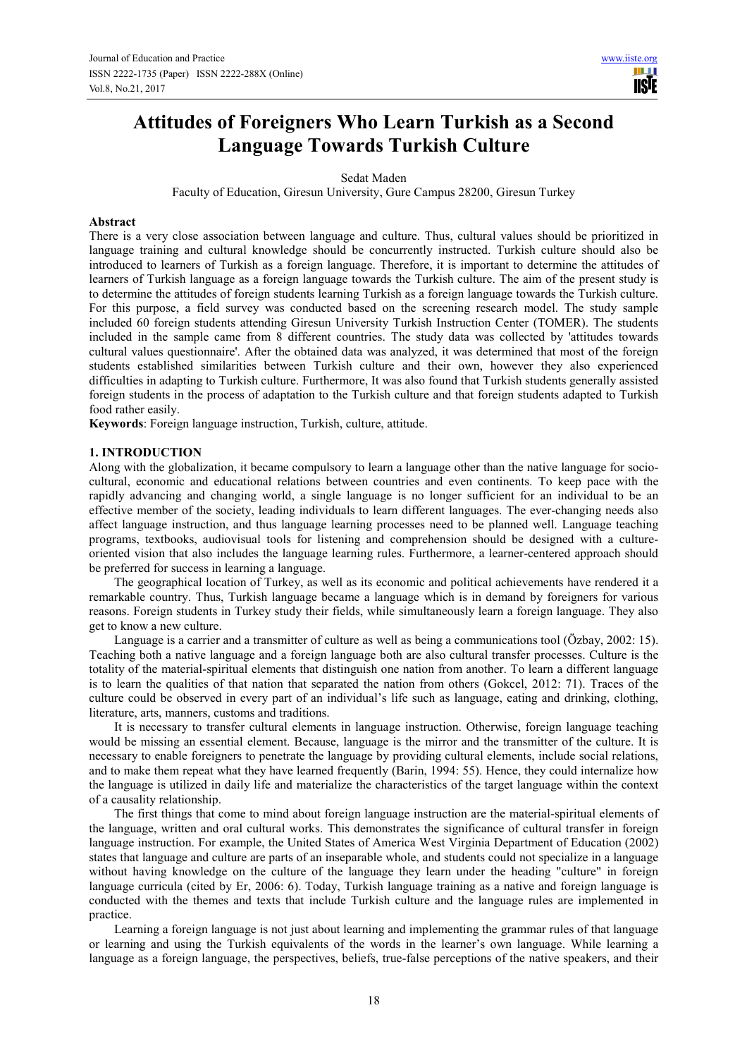**TISIE** 

# **Attitudes of Foreigners Who Learn Turkish as a Second Language Towards Turkish Culture**

Sedat Maden

Faculty of Education, Giresun University, Gure Campus 28200, Giresun Turkey

#### **Abstract**

There is a very close association between language and culture. Thus, cultural values should be prioritized in language training and cultural knowledge should be concurrently instructed. Turkish culture should also be introduced to learners of Turkish as a foreign language. Therefore, it is important to determine the attitudes of learners of Turkish language as a foreign language towards the Turkish culture. The aim of the present study is to determine the attitudes of foreign students learning Turkish as a foreign language towards the Turkish culture. For this purpose, a field survey was conducted based on the screening research model. The study sample included 60 foreign students attending Giresun University Turkish Instruction Center (TOMER). The students included in the sample came from 8 different countries. The study data was collected by 'attitudes towards cultural values questionnaire'. After the obtained data was analyzed, it was determined that most of the foreign students established similarities between Turkish culture and their own, however they also experienced difficulties in adapting to Turkish culture. Furthermore, It was also found that Turkish students generally assisted foreign students in the process of adaptation to the Turkish culture and that foreign students adapted to Turkish food rather easily.

**Keywords**: Foreign language instruction, Turkish, culture, attitude.

## **1. INTRODUCTION**

Along with the globalization, it became compulsory to learn a language other than the native language for sociocultural, economic and educational relations between countries and even continents. To keep pace with the rapidly advancing and changing world, a single language is no longer sufficient for an individual to be an effective member of the society, leading individuals to learn different languages. The ever-changing needs also affect language instruction, and thus language learning processes need to be planned well. Language teaching programs, textbooks, audiovisual tools for listening and comprehension should be designed with a cultureoriented vision that also includes the language learning rules. Furthermore, a learner-centered approach should be preferred for success in learning a language.

The geographical location of Turkey, as well as its economic and political achievements have rendered it a remarkable country. Thus, Turkish language became a language which is in demand by foreigners for various reasons. Foreign students in Turkey study their fields, while simultaneously learn a foreign language. They also get to know a new culture.

Language is a carrier and a transmitter of culture as well as being a communications tool (Özbay, 2002: 15). Teaching both a native language and a foreign language both are also cultural transfer processes. Culture is the totality of the material-spiritual elements that distinguish one nation from another. To learn a different language is to learn the qualities of that nation that separated the nation from others (Gokcel, 2012: 71). Traces of the culture could be observed in every part of an individual's life such as language, eating and drinking, clothing, literature, arts, manners, customs and traditions.

It is necessary to transfer cultural elements in language instruction. Otherwise, foreign language teaching would be missing an essential element. Because, language is the mirror and the transmitter of the culture. It is necessary to enable foreigners to penetrate the language by providing cultural elements, include social relations, and to make them repeat what they have learned frequently (Barin, 1994: 55). Hence, they could internalize how the language is utilized in daily life and materialize the characteristics of the target language within the context of a causality relationship.

The first things that come to mind about foreign language instruction are the material-spiritual elements of the language, written and oral cultural works. This demonstrates the significance of cultural transfer in foreign language instruction. For example, the United States of America West Virginia Department of Education (2002) states that language and culture are parts of an inseparable whole, and students could not specialize in a language without having knowledge on the culture of the language they learn under the heading "culture" in foreign language curricula (cited by Er, 2006: 6). Today, Turkish language training as a native and foreign language is conducted with the themes and texts that include Turkish culture and the language rules are implemented in practice.

Learning a foreign language is not just about learning and implementing the grammar rules of that language or learning and using the Turkish equivalents of the words in the learner's own language. While learning a language as a foreign language, the perspectives, beliefs, true-false perceptions of the native speakers, and their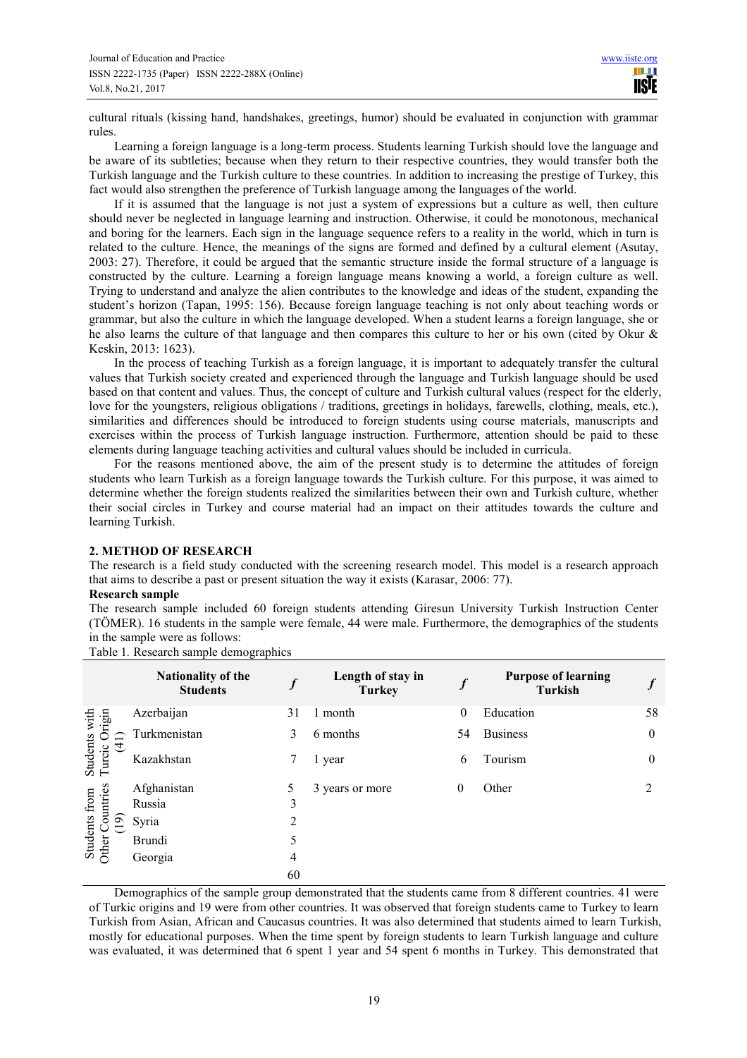cultural rituals (kissing hand, handshakes, greetings, humor) should be evaluated in conjunction with grammar rules.

Learning a foreign language is a long-term process. Students learning Turkish should love the language and be aware of its subtleties; because when they return to their respective countries, they would transfer both the Turkish language and the Turkish culture to these countries. In addition to increasing the prestige of Turkey, this fact would also strengthen the preference of Turkish language among the languages of the world.

If it is assumed that the language is not just a system of expressions but a culture as well, then culture should never be neglected in language learning and instruction. Otherwise, it could be monotonous, mechanical and boring for the learners. Each sign in the language sequence refers to a reality in the world, which in turn is related to the culture. Hence, the meanings of the signs are formed and defined by a cultural element (Asutay, 2003: 27). Therefore, it could be argued that the semantic structure inside the formal structure of a language is constructed by the culture. Learning a foreign language means knowing a world, a foreign culture as well. Trying to understand and analyze the alien contributes to the knowledge and ideas of the student, expanding the student's horizon (Tapan, 1995: 156). Because foreign language teaching is not only about teaching words or grammar, but also the culture in which the language developed. When a student learns a foreign language, she or he also learns the culture of that language and then compares this culture to her or his own (cited by Okur & Keskin, 2013: 1623).

In the process of teaching Turkish as a foreign language, it is important to adequately transfer the cultural values that Turkish society created and experienced through the language and Turkish language should be used based on that content and values. Thus, the concept of culture and Turkish cultural values (respect for the elderly, love for the youngsters, religious obligations / traditions, greetings in holidays, farewells, clothing, meals, etc.), similarities and differences should be introduced to foreign students using course materials, manuscripts and exercises within the process of Turkish language instruction. Furthermore, attention should be paid to these elements during language teaching activities and cultural values should be included in curricula.

For the reasons mentioned above, the aim of the present study is to determine the attitudes of foreign students who learn Turkish as a foreign language towards the Turkish culture. For this purpose, it was aimed to determine whether the foreign students realized the similarities between their own and Turkish culture, whether their social circles in Turkey and course material had an impact on their attitudes towards the culture and learning Turkish.

#### **2. METHOD OF RESEARCH**

The research is a field study conducted with the screening research model. This model is a research approach that aims to describe a past or present situation the way it exists (Karasar, 2006: 77).

#### **Research sample**

The research sample included 60 foreign students attending Giresun University Turkish Instruction Center (TÖMER). 16 students in the sample were female, 44 were male. Furthermore, the demographics of the students in the sample were as follows:

Table 1*.* Research sample demographics

|                                           | <b>Nationality of the</b><br><b>Students</b> |    | Length of stay in<br><b>Turkey</b> |              | <b>Purpose of learning</b><br>Turkish |              |
|-------------------------------------------|----------------------------------------------|----|------------------------------------|--------------|---------------------------------------|--------------|
| gm<br>with                                | Azerbaijan                                   | 31 | 1 month                            | 0            | Education                             | 58           |
|                                           | Turkmenistan                                 | 3  | 6 months                           | 54           | <b>Business</b>                       | $\mathbf{0}$ |
| Students<br>Turcic O <sub>1</sub><br>(41) | Kazakhstan                                   |    | 1 year                             | 6            | Tourism                               | $\mathbf{0}$ |
|                                           | Afghanistan                                  | 5  | 3 years or more                    | $\mathbf{0}$ | Other                                 |              |
| untries                                   | Russia                                       | 3  |                                    |              |                                       |              |
| $\sigma$                                  | Syria                                        | 2  |                                    |              |                                       |              |
| Students from<br>ther                     | <b>Brundi</b>                                | 5  |                                    |              |                                       |              |
|                                           | Georgia                                      | 4  |                                    |              |                                       |              |
|                                           |                                              | 60 |                                    |              |                                       |              |

Demographics of the sample group demonstrated that the students came from 8 different countries. 41 were of Turkic origins and 19 were from other countries. It was observed that foreign students came to Turkey to learn Turkish from Asian, African and Caucasus countries. It was also determined that students aimed to learn Turkish, mostly for educational purposes. When the time spent by foreign students to learn Turkish language and culture was evaluated, it was determined that 6 spent 1 year and 54 spent 6 months in Turkey. This demonstrated that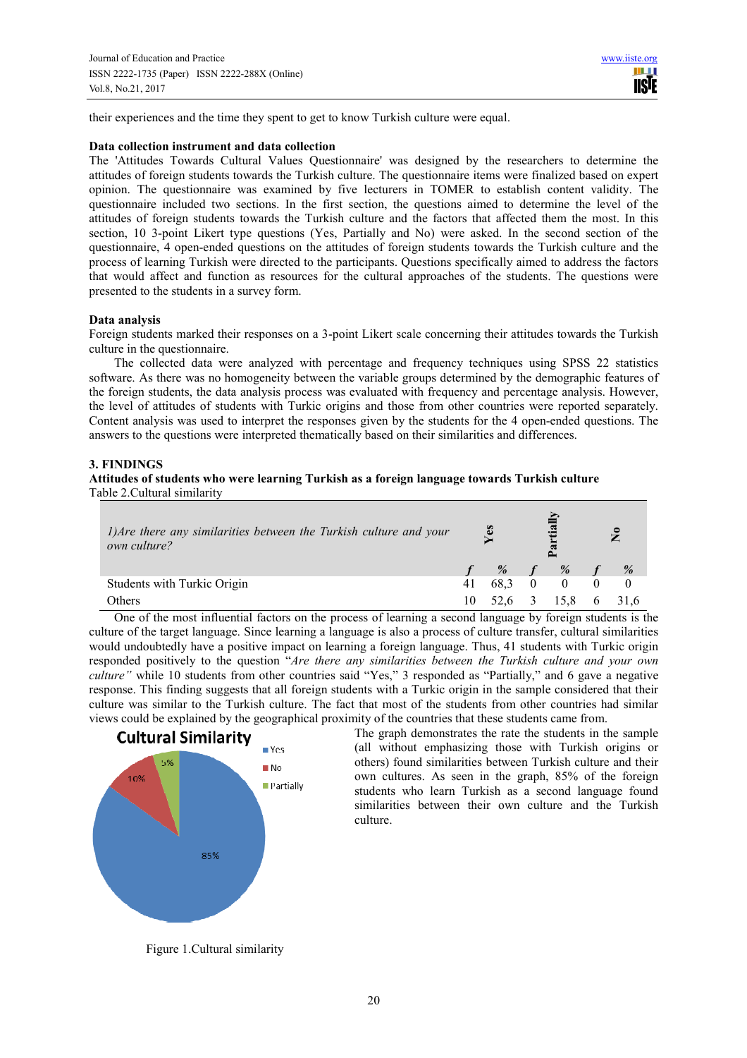their experiences and the time they spent to get to know Turkish culture were equal.

#### **Data collection instrument and data collection**

The 'Attitudes Towards Cultural Values Questionnaire' was designed by the researchers to determine the attitudes of foreign students towards the Turkish culture. The questionnaire items were finalized based on expert opinion. The questionnaire was examined by five lecturers in TOMER to establish content validity. The questionnaire included two sections. In the first section, the questions aimed to determine the level of the attitudes of foreign students towards the Turkish culture and the factors that affected them the most. In this section, 10 3-point Likert type questions (Yes, Partially and No) were asked. In the second section of the questionnaire, 4 open-ended questions on the attitudes of foreign students towards the Turkish culture and the process of learning Turkish were directed to the participants. Questions specifically aimed to address the factors that would affect and function as resources for the cultural approaches of the students. The questions were presented to the students in a survey form.

#### **Data analysis**

Foreign students marked their responses on a 3-point Likert scale concerning their attitudes towards the Turkish culture in the questionnaire.

The collected data were analyzed with percentage and frequency techniques using SPSS 22 statistics software. As there was no homogeneity between the variable groups determined by the demographic features of the foreign students, the data analysis process was evaluated with frequency and percentage analysis. However, the level of attitudes of students with Turkic origins and those from other countries were reported separately. Content analysis was used to interpret the responses given by the students for the 4 open-ended questions. The answers to the questions were interpreted thematically based on their similarities and differences.

## **3. FINDINGS**

#### **Attitudes of students who were learning Turkish as a foreign language towards Turkish culture**  Table 2.Cultural similarity

| 1) Are there any similarities between the Turkish culture and your<br>own culture? | $\mathbf{e}$ s |      | tia      | $\tilde{\mathbf{z}}$ |
|------------------------------------------------------------------------------------|----------------|------|----------|----------------------|
|                                                                                    |                | $\%$ | %        | %                    |
| Students with Turkic Origin                                                        | 41             | 68.3 | $\Omega$ |                      |
| <b>Others</b>                                                                      | 10             | 52.6 | 15.8     |                      |

One of the most influential factors on the process of learning a second language by foreign students is the culture of the target language. Since learning a language is also a process of culture transfer, cultural similarities would undoubtedly have a positive impact on learning a foreign language. Thus, 41 students with Turkic origin responded positively to the question "*Are there any similarities between the Turkish culture and your own culture"* while 10 students from other countries said "Yes," 3 responded as "Partially," and 6 gave a negative response. This finding suggests that all foreign students with a Turkic origin in the sample considered that their culture was similar to the Turkish culture. The fact that most of the students from other countries had similar views could be explained by the geographical proximity of the countries that these students came from.



The graph demonstrates the rate the students in the sample (all without emphasizing those with Turkish origins or others) found similarities between Turkish culture and their own cultures. As seen in the graph, 85% of the foreign students who learn Turkish as a second language found similarities between their own culture and the Turkish culture.

Figure 1.Cultural similarity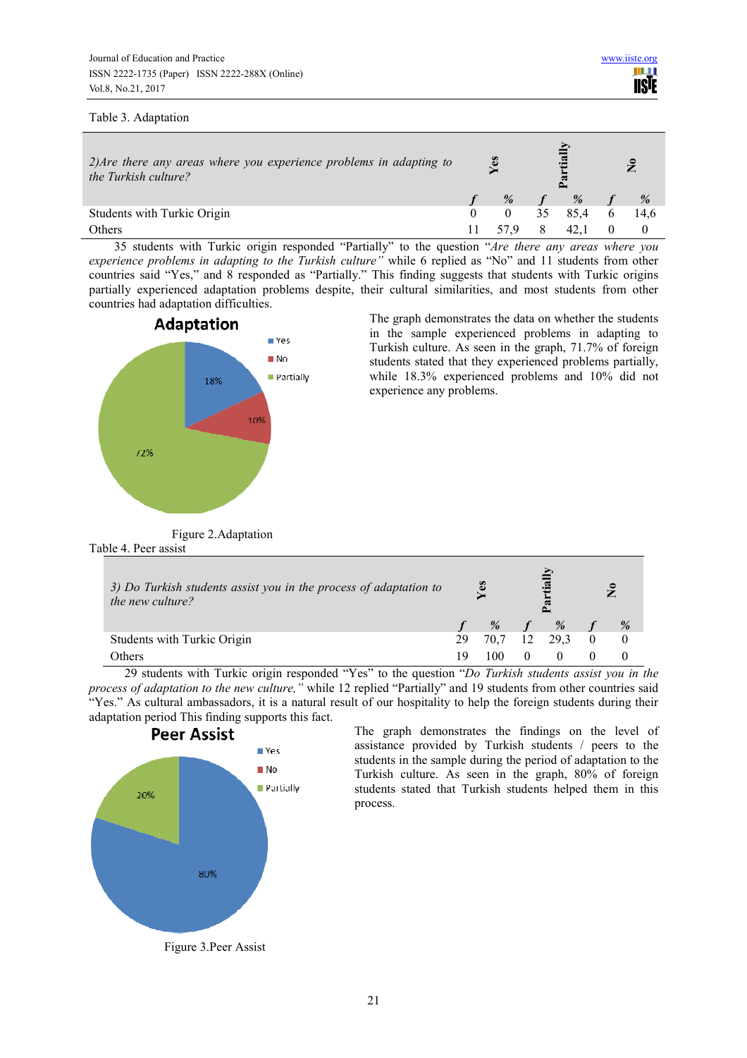#### Table 3. Adaptation

| $2)$ Are there any areas where you experience problems in adapting to<br>the Turkish culture? |      |     |   | $\tilde{\mathbf{z}}$ |
|-----------------------------------------------------------------------------------------------|------|-----|---|----------------------|
|                                                                                               | $\%$ | %   |   | %                    |
| Students with Turkic Origin                                                                   |      | 854 | 6 | 14.6                 |
| Others                                                                                        |      |     |   |                      |

35 students with Turkic origin responded "Partially" to the question "*Are there any areas where you experience problems in adapting to the Turkish culture"* while 6 replied as "No" and 11 students from other countries said "Yes," and 8 responded as "Partially." This finding suggests that students with Turkic origins partially experienced adaptation problems despite, their cultural similarities, and most students from other countries had adaptation difficulties.



The graph demonstrates the data on whether the students in the sample experienced problems in adapting to Turkish culture. As seen in the graph, 71.7% of foreign students stated that they experienced problems partially, while 18.3% experienced problems and 10% did not experience any problems.

Figure 2.Adaptation Table 4. Peer assist

| 3) Do Turkish students assist you in the process of adaptation to<br>the new culture? |    | les  |    |      |  |   |  |  |  | $\bullet$ $\blacksquare$ |  | و |  |
|---------------------------------------------------------------------------------------|----|------|----|------|--|---|--|--|--|--------------------------|--|---|--|
|                                                                                       |    | %    |    | %    |  | % |  |  |  |                          |  |   |  |
| Students with Turkic Origin                                                           | 29 | 70.7 | 12 | 29.3 |  |   |  |  |  |                          |  |   |  |
| Others                                                                                | 19 | 100  |    |      |  |   |  |  |  |                          |  |   |  |

29 students with Turkic origin responded "Yes" to the question "*Do Turkish students assist you in the process of adaptation to the new culture,"* while 12 replied "Partially" and 19 students from other countries said "Yes." As cultural ambassadors, it is a natural result of our hospitality to help the foreign students during their adaptation period This finding supports this fact.



The graph demonstrates the findings on the level of assistance provided by Turkish students / peers to the students in the sample during the period of adaptation to the Turkish culture. As seen in the graph, 80% of foreign students stated that Turkish students helped them in this process.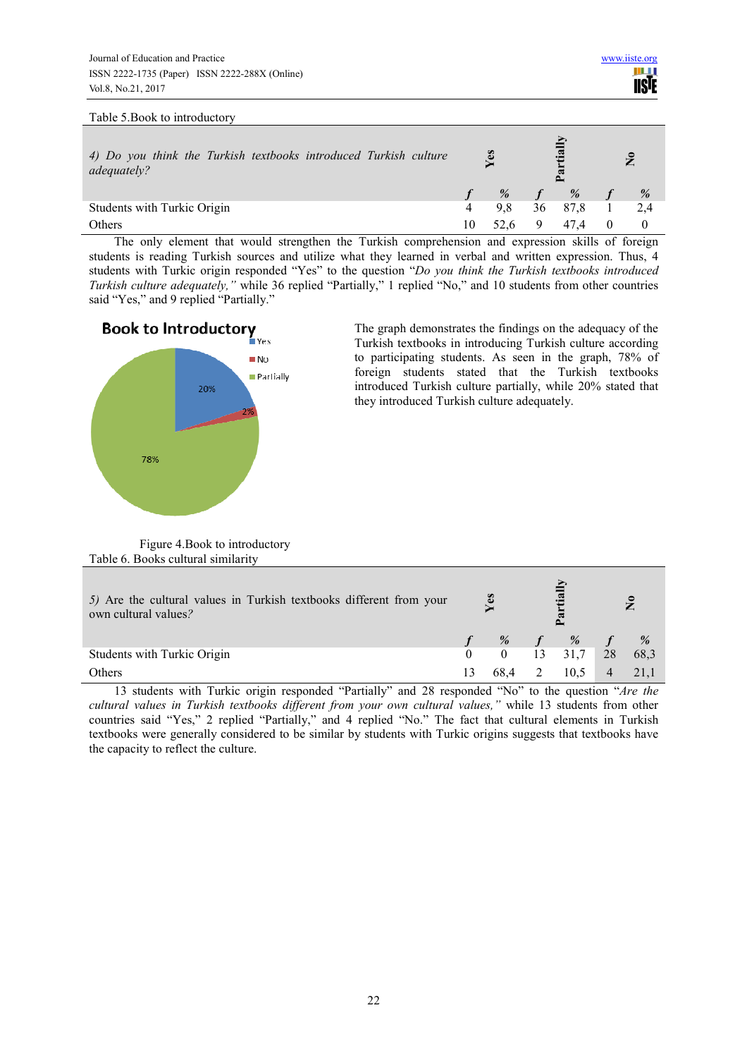#### Table 5.Book to introductory

| 4) Do you think the Turkish textbooks introduced Turkish culture<br>adequately? | les<br>$\mathbf{a}$ |    |      | $\mathbf{z}$ |      |
|---------------------------------------------------------------------------------|---------------------|----|------|--------------|------|
|                                                                                 | %                   |    | %    |              | $\%$ |
| Students with Turkic Origin                                                     | 9.8                 | 36 | 87.8 |              | 2.4  |
| Others                                                                          | 52.6                |    | 47.4 |              |      |

The only element that would strengthen the Turkish comprehension and expression skills of foreign students is reading Turkish sources and utilize what they learned in verbal and written expression. Thus, 4 students with Turkic origin responded "Yes" to the question "*Do you think the Turkish textbooks introduced Turkish culture adequately,"* while 36 replied "Partially," 1 replied "No," and 10 students from other countries said "Yes," and 9 replied "Partially."



The graph demonstrates the findings on the adequacy of the Turkish textbooks in introducing Turkish culture according to participating students. As seen in the graph, 78% of foreign students stated that the Turkish textbooks introduced Turkish culture partially, while 20% stated that they introduced Turkish culture adequately.

Figure 4.Book to introductory Table 6. Books cultural similarity

| 5) Are the cultural values in Turkish textbooks different from your<br>own cultural values? |  | Yes      |       |             |  | $\mathbf{a}$ |  |  | $\tilde{\mathbf{z}}$ |  |
|---------------------------------------------------------------------------------------------|--|----------|-------|-------------|--|--------------|--|--|----------------------|--|
|                                                                                             |  |          | % $f$ | $\%$ f $\%$ |  |              |  |  |                      |  |
| Students with Turkic Origin                                                                 |  | $\theta$ | 13    | $31,7$ 28   |  | 68,3         |  |  |                      |  |
| Others                                                                                      |  | 68,4     |       | 10.5        |  | 21,1         |  |  |                      |  |

13 students with Turkic origin responded "Partially" and 28 responded "No" to the question "*Are the cultural values in Turkish textbooks different from your own cultural values,"* while 13 students from other countries said "Yes," 2 replied "Partially," and 4 replied "No." The fact that cultural elements in Turkish textbooks were generally considered to be similar by students with Turkic origins suggests that textbooks have the capacity to reflect the culture.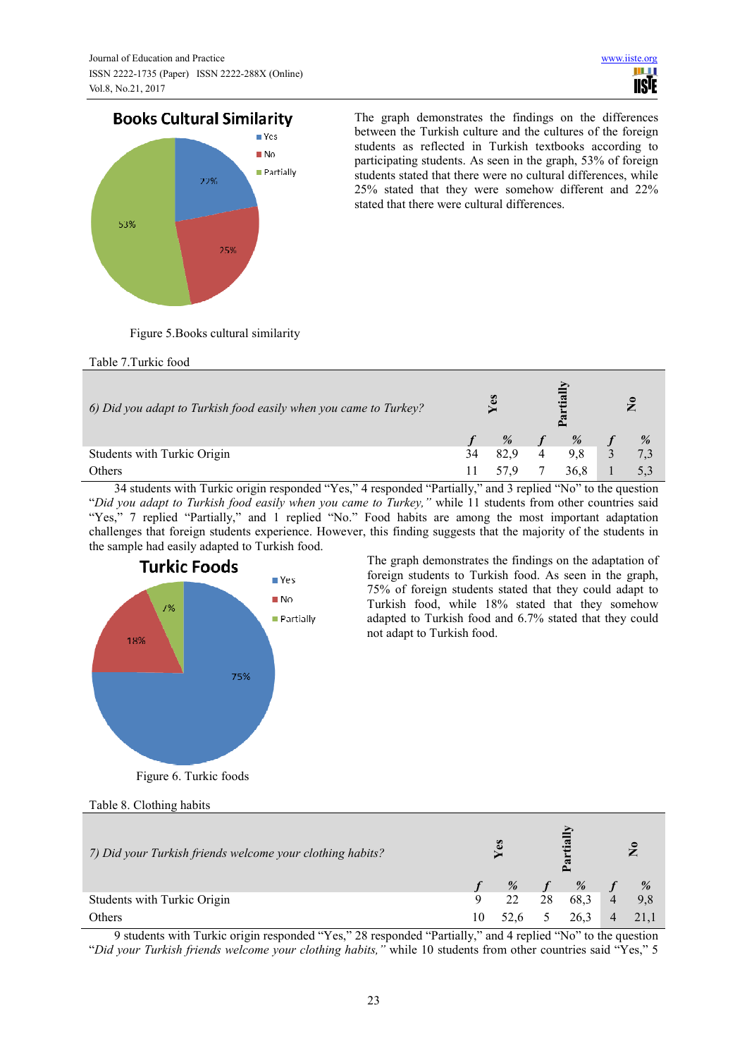# **Books Cultural Similarity**



The graph demonstrates the findings on the differences between the Turkish culture and the cultures of the foreign students as reflected in Turkish textbooks according to participating students. As seen in the graph, 53% of foreign students stated that there were no cultural differences, while 25% stated that they were somehow different and 22% stated that there were cultural differences.

Figure 5.Books cultural similarity

Table 7.Turkic food

| 6) Did you adapt to Turkish food easily when you came to Turkey? | Yes |      |  |      |   | $\tilde{\mathbf{z}}$ |  |
|------------------------------------------------------------------|-----|------|--|------|---|----------------------|--|
|                                                                  |     | %    |  | %    |   | %                    |  |
| Students with Turkic Origin                                      | 34  | 82.9 |  | 9.8  | 3 | 7,3                  |  |
| Others                                                           |     | 57.9 |  | 36.8 |   |                      |  |

34 students with Turkic origin responded "Yes," 4 responded "Partially," and 3 replied "No" to the question "*Did you adapt to Turkish food easily when you came to Turkey,"* while 11 students from other countries said "Yes," 7 replied "Partially," and 1 replied "No." Food habits are among the most important adaptation challenges that foreign students experience. However, this finding suggests that the majority of the students in the sample had easily adapted to Turkish food.



The graph demonstrates the findings on the adaptation of foreign students to Turkish food. As seen in the graph, 75% of foreign students stated that they could adapt to Turkish food, while 18% stated that they somehow adapted to Turkish food and 6.7% stated that they could not adapt to Turkish food.

Figure 6. Turkic foods

Table 8. Clothing habits

| 7) Did your Turkish friends welcome your clothing habits? |    | B    |    | ې.<br>ب |                | $\mathbf{S}$     |  |
|-----------------------------------------------------------|----|------|----|---------|----------------|------------------|--|
|                                                           |    | %    |    | %       |                |                  |  |
| Students with Turkic Origin                               | 9  | 22   | 28 | 68.3    | $\overline{4}$ | $\frac{\%}{9,8}$ |  |
| Others                                                    | 10 | 52.6 |    | 26.3    |                |                  |  |

9 students with Turkic origin responded "Yes," 28 responded "Partially," and 4 replied "No" to the question "*Did your Turkish friends welcome your clothing habits,"* while 10 students from other countries said "Yes," 5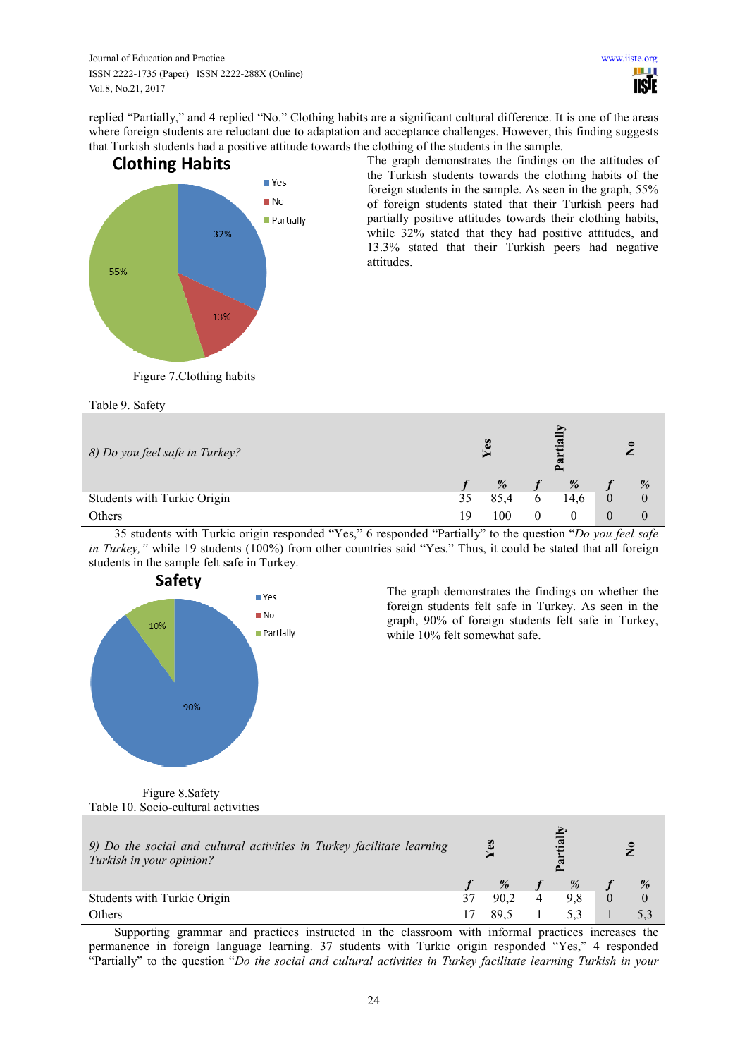replied "Partially," and 4 replied "No." Clothing habits are a significant cultural difference. It is one of the areas where foreign students are reluctant due to adaptation and acceptance challenges. However, this finding suggests that Turkish students had a positive attitude towards the clothing of the students in the sample.



The graph demonstrates the findings on the attitudes of the Turkish students towards the clothing habits of the foreign students in the sample. As seen in the graph, 55% of foreign students stated that their Turkish peers had partially positive attitudes towards their clothing habits, while 32% stated that they had positive attitudes, and 13.3% stated that their Turkish peers had negative attitudes.

Figure 7.Clothing habits

Table 9. Safety

| 8) Do you feel safe in Turkey? | ะ<br>œ<br>w |      |   |      | $\tilde{\mathbf{z}}$ |                |
|--------------------------------|-------------|------|---|------|----------------------|----------------|
|                                |             | %    |   | %    |                      | %              |
| Students with Turkic Origin    | 35          | 85.4 | O | 14.6 |                      | $\overline{0}$ |
| Others                         | 1 Q         | 100  |   |      | $\theta$             | $\theta$       |

35 students with Turkic origin responded "Yes," 6 responded "Partially" to the question "*Do you feel safe in Turkey,"* while 19 students (100%) from other countries said "Yes." Thus, it could be stated that all foreign students in the sample felt safe in Turkey.



The graph demonstrates the findings on whether the foreign students felt safe in Turkey. As seen in the graph, 90% of foreign students felt safe in Turkey, while 10% felt somewhat safe.

 Figure 8.Safety Table 10. Socio-cultural activities

| 9) Do the social and cultural activities in Turkey facilitate learning<br>Turkish in your opinion? |  | <b>Yes</b> |  |   |          |  |  |  |  |  |  |  | $\tilde{z}$ |  |
|----------------------------------------------------------------------------------------------------|--|------------|--|---|----------|--|--|--|--|--|--|--|-------------|--|
|                                                                                                    |  | %          |  | % | %        |  |  |  |  |  |  |  |             |  |
| Students with Turkic Origin                                                                        |  | 90.2       |  |   | $\Omega$ |  |  |  |  |  |  |  |             |  |
| Others                                                                                             |  |            |  |   |          |  |  |  |  |  |  |  |             |  |

Supporting grammar and practices instructed in the classroom with informal practices increases the permanence in foreign language learning. 37 students with Turkic origin responded "Yes," 4 responded "Partially" to the question "*Do the social and cultural activities in Turkey facilitate learning Turkish in your*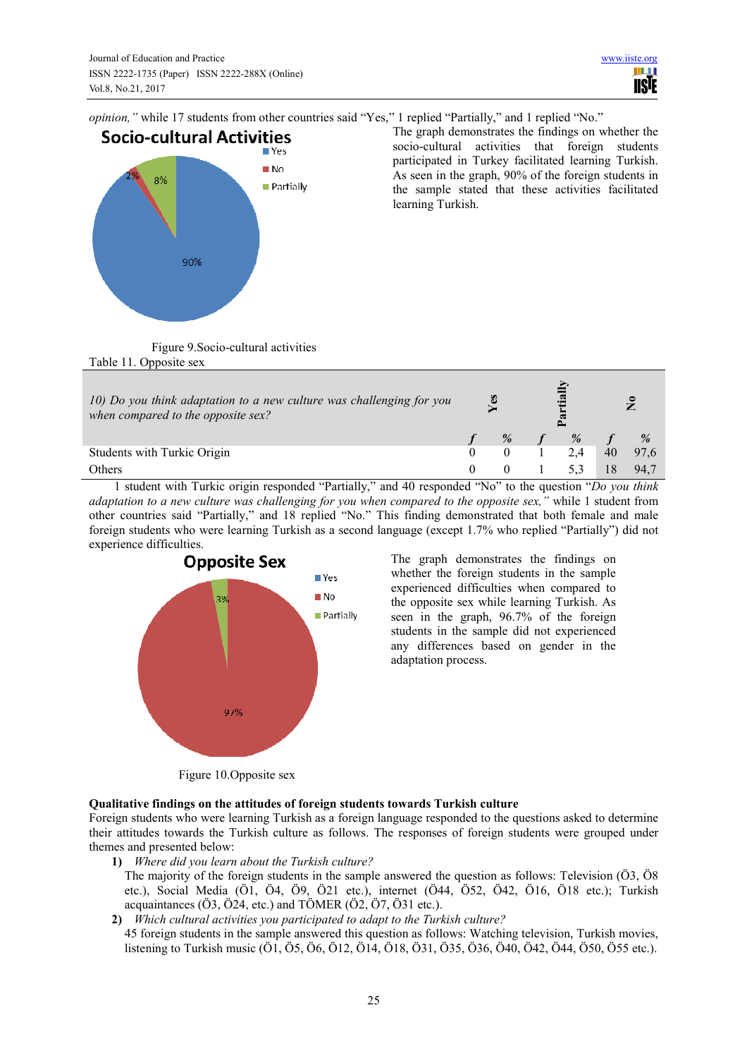*opinion,"* while 17 students from other countries said "Yes," 1 replied "Partially," and 1 replied "No."



The graph demonstrates the findings on whether the socio-cultural activities that foreign students participated in Turkey facilitated learning Turkish. As seen in the graph, 90% of the foreign students in the sample stated that these activities facilitated learning Turkish.

Figure 9.Socio-cultural activities Table 11. Opposite sex

| 10) Do you think adaptation to a new culture was challenging for you<br>when compared to the opposite sex? | ES |      |      |    |      |  |  |  | ۽ |
|------------------------------------------------------------------------------------------------------------|----|------|------|----|------|--|--|--|---|
|                                                                                                            |    | $\%$ | $\%$ |    | %    |  |  |  |   |
| Students with Turkic Origin                                                                                |    |      | 2.4  | 40 | 97.6 |  |  |  |   |
| Others                                                                                                     |    |      |      |    | 94.7 |  |  |  |   |

1 student with Turkic origin responded "Partially," and 40 responded "No" to the question "*Do you think adaptation to a new culture was challenging for you when compared to the opposite sex,"* while 1 student from other countries said "Partially," and 18 replied "No." This finding demonstrated that both female and male foreign students who were learning Turkish as a second language (except 1.7% who replied "Partially") did not experience difficulties.



The graph demonstrates the findings on whether the foreign students in the sample experienced difficulties when compared to the opposite sex while learning Turkish. As seen in the graph, 96.7% of the foreign students in the sample did not experienced any differences based on gender in the adaptation process.

Figure 10.Opposite sex

# **Qualitative findings on the attitudes of foreign students towards Turkish culture**

Foreign students who were learning Turkish as a foreign language responded to the questions asked to determine their attitudes towards the Turkish culture as follows. The responses of foreign students were grouped under themes and presented below:

- **1)** *Where did you learn about the Turkish culture?* 
	- The majority of the foreign students in the sample answered the question as follows: Television (Ö3, Ö8 etc.), Social Media (Ö1, Ö4, Ö9, Ö21 etc.), internet (Ö44, Ö52, Ö42, Ö16, Ö18 etc.); Turkish acquaintances (Ö3, Ö24, etc.) and TÖMER (Ö2, Ö7, Ö31 etc.).
- **2)** *Which cultural activities you participated to adapt to the Turkish culture?*
- 45 foreign students in the sample answered this question as follows: Watching television, Turkish movies, listening to Turkish music (Ö1, Ö5, Ö6, Ö12, Ö14, Ö18, Ö31, Ö35, Ö36, Ö40, Ö42, Ö44, Ö50, Ö55 etc.).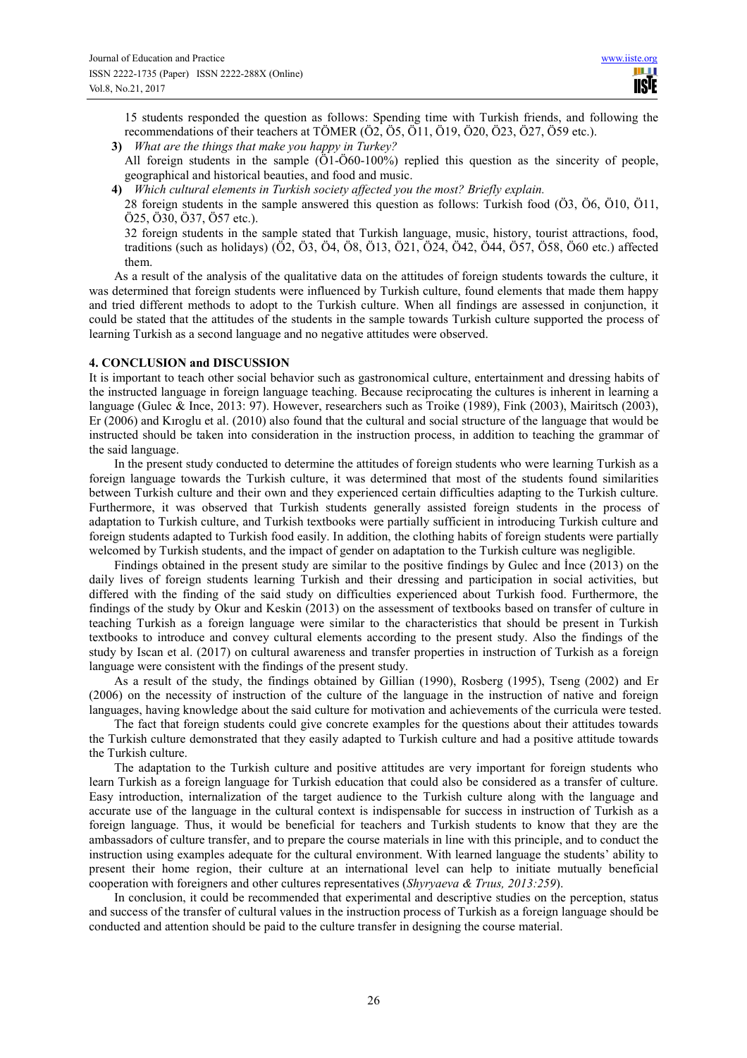15 students responded the question as follows: Spending time with Turkish friends, and following the recommendations of their teachers at TÖMER (Ö2, Ö5, Ö11, Ö19, Ö20, Ö23, Ö27, Ö59 etc.).

- **3)** *What are the things that make you happy in Turkey?* All foreign students in the sample (Ö1-Ö60-100%) replied this question as the sincerity of people, geographical and historical beauties, and food and music.
- **4)** *Which cultural elements in Turkish society affected you the most? Briefly explain.*

28 foreign students in the sample answered this question as follows: Turkish food (Ö3, Ö6, Ö10, Ö11, Ö25, Ö30, Ö37, Ö57 etc.).

32 foreign students in the sample stated that Turkish language, music, history, tourist attractions, food, traditions (such as holidays) (Ö2, Ö3, Ö4, Ö8, Ö13, Ö21, Ö24, Ö42, Ö44, Ö57, Ö58, Ö60 etc.) affected them.

As a result of the analysis of the qualitative data on the attitudes of foreign students towards the culture, it was determined that foreign students were influenced by Turkish culture, found elements that made them happy and tried different methods to adopt to the Turkish culture. When all findings are assessed in conjunction, it could be stated that the attitudes of the students in the sample towards Turkish culture supported the process of learning Turkish as a second language and no negative attitudes were observed.

# **4. CONCLUSION and DISCUSSION**

It is important to teach other social behavior such as gastronomical culture, entertainment and dressing habits of the instructed language in foreign language teaching. Because reciprocating the cultures is inherent in learning a language (Gulec & Ince, 2013: 97). However, researchers such as Troike (1989), Fink (2003), Mairitsch (2003), Er (2006) and Kıroglu et al. (2010) also found that the cultural and social structure of the language that would be instructed should be taken into consideration in the instruction process, in addition to teaching the grammar of the said language.

In the present study conducted to determine the attitudes of foreign students who were learning Turkish as a foreign language towards the Turkish culture, it was determined that most of the students found similarities between Turkish culture and their own and they experienced certain difficulties adapting to the Turkish culture. Furthermore, it was observed that Turkish students generally assisted foreign students in the process of adaptation to Turkish culture, and Turkish textbooks were partially sufficient in introducing Turkish culture and foreign students adapted to Turkish food easily. In addition, the clothing habits of foreign students were partially welcomed by Turkish students, and the impact of gender on adaptation to the Turkish culture was negligible.

Findings obtained in the present study are similar to the positive findings by Gulec and İnce (2013) on the daily lives of foreign students learning Turkish and their dressing and participation in social activities, but differed with the finding of the said study on difficulties experienced about Turkish food. Furthermore, the findings of the study by Okur and Keskin (2013) on the assessment of textbooks based on transfer of culture in teaching Turkish as a foreign language were similar to the characteristics that should be present in Turkish textbooks to introduce and convey cultural elements according to the present study. Also the findings of the study by Iscan et al. (2017) on cultural awareness and transfer properties in instruction of Turkish as a foreign language were consistent with the findings of the present study.

As a result of the study, the findings obtained by Gillian (1990), Rosberg (1995), Tseng (2002) and Er (2006) on the necessity of instruction of the culture of the language in the instruction of native and foreign languages, having knowledge about the said culture for motivation and achievements of the curricula were tested.

The fact that foreign students could give concrete examples for the questions about their attitudes towards the Turkish culture demonstrated that they easily adapted to Turkish culture and had a positive attitude towards the Turkish culture.

The adaptation to the Turkish culture and positive attitudes are very important for foreign students who learn Turkish as a foreign language for Turkish education that could also be considered as a transfer of culture. Easy introduction, internalization of the target audience to the Turkish culture along with the language and accurate use of the language in the cultural context is indispensable for success in instruction of Turkish as a foreign language. Thus, it would be beneficial for teachers and Turkish students to know that they are the ambassadors of culture transfer, and to prepare the course materials in line with this principle, and to conduct the instruction using examples adequate for the cultural environment. With learned language the students' ability to present their home region, their culture at an international level can help to initiate mutually beneficial cooperation with foreigners and other cultures representatives (*Shyryaeva & Trıus, 2013:259*).

In conclusion, it could be recommended that experimental and descriptive studies on the perception, status and success of the transfer of cultural values in the instruction process of Turkish as a foreign language should be conducted and attention should be paid to the culture transfer in designing the course material.